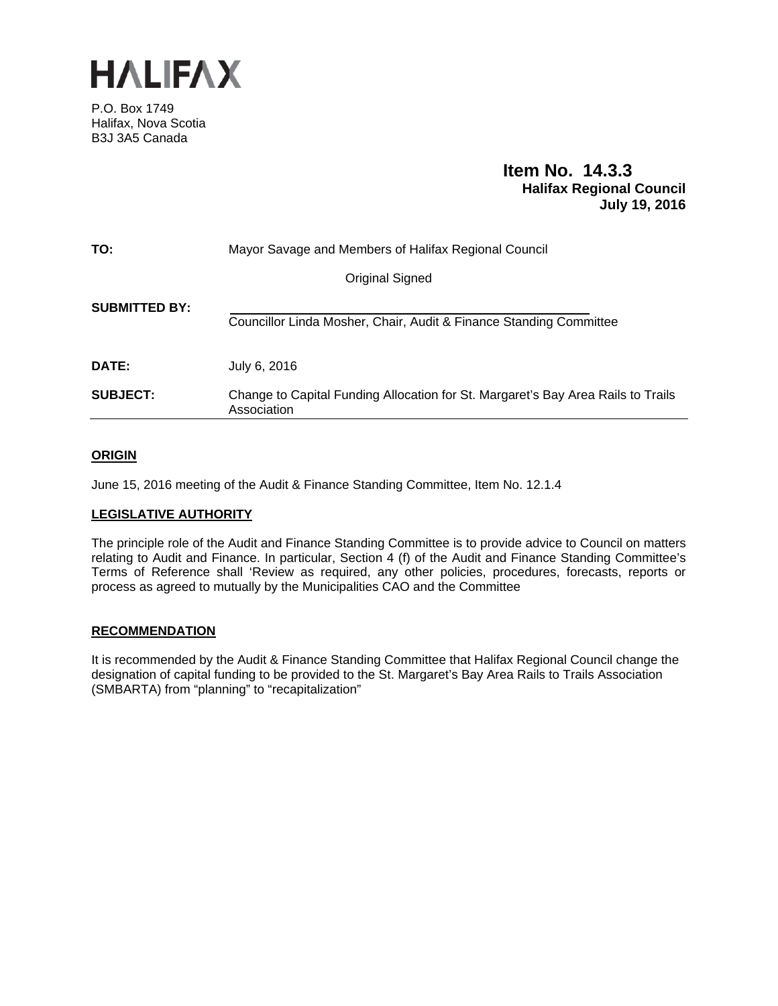

P.O. Box 1749 Halifax, Nova Scotia B3J 3A5 Canada

# **Item No. 14.3.3 Halifax Regional Council July 19, 2016**

| TO:                  | Mayor Savage and Members of Halifax Regional Council                                            |
|----------------------|-------------------------------------------------------------------------------------------------|
|                      | <b>Original Signed</b>                                                                          |
| <b>SUBMITTED BY:</b> | Councillor Linda Mosher, Chair, Audit & Finance Standing Committee                              |
| DATE:                | July 6, 2016                                                                                    |
| <b>SUBJECT:</b>      | Change to Capital Funding Allocation for St. Margaret's Bay Area Rails to Trails<br>Association |

# **ORIGIN**

June 15, 2016 meeting of the Audit & Finance Standing Committee, Item No. 12.1.4

## **LEGISLATIVE AUTHORITY**

The principle role of the Audit and Finance Standing Committee is to provide advice to Council on matters relating to Audit and Finance. In particular, Section 4 (f) of the Audit and Finance Standing Committee's Terms of Reference shall 'Review as required, any other policies, procedures, forecasts, reports or process as agreed to mutually by the Municipalities CAO and the Committee

## **RECOMMENDATION**

It is recommended by the Audit & Finance Standing Committee that Halifax Regional Council change the designation of capital funding to be provided to the St. Margaret's Bay Area Rails to Trails Association (SMBARTA) from "planning" to "recapitalization"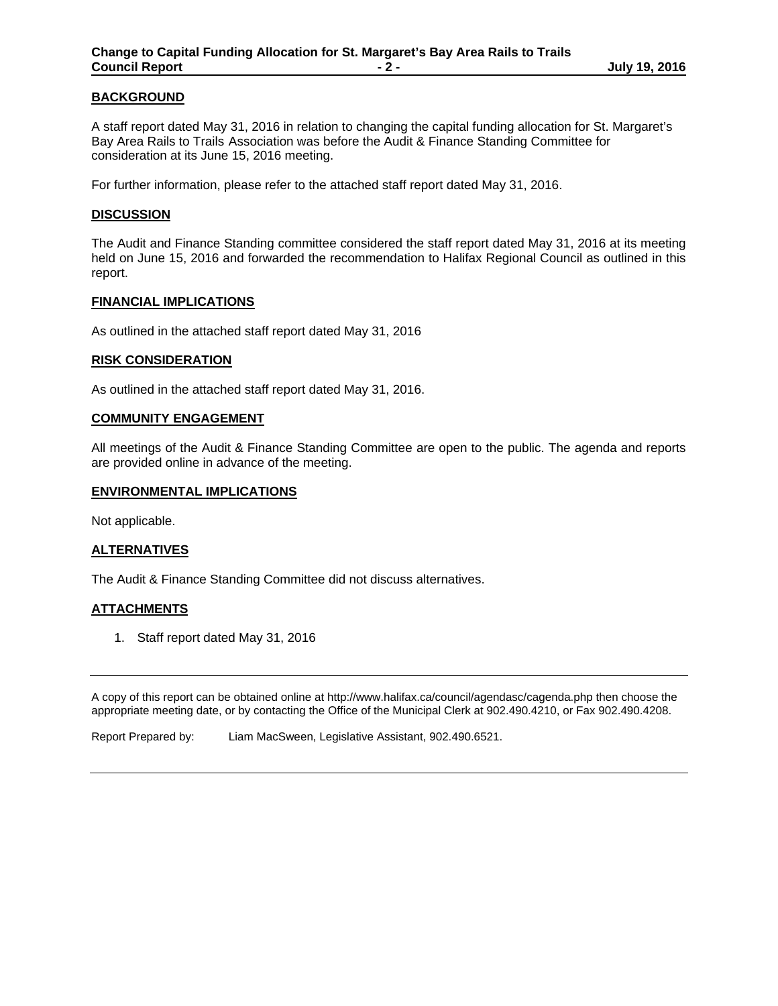# **BACKGROUND**

A staff report dated May 31, 2016 in relation to changing the capital funding allocation for St. Margaret's Bay Area Rails to Trails Association was before the Audit & Finance Standing Committee for consideration at its June 15, 2016 meeting.

For further information, please refer to the attached staff report dated May 31, 2016.

### **DISCUSSION**

The Audit and Finance Standing committee considered the staff report dated May 31, 2016 at its meeting held on June 15, 2016 and forwarded the recommendation to Halifax Regional Council as outlined in this report.

#### **FINANCIAL IMPLICATIONS**

As outlined in the attached staff report dated May 31, 2016

### **RISK CONSIDERATION**

As outlined in the attached staff report dated May 31, 2016.

### **COMMUNITY ENGAGEMENT**

All meetings of the Audit & Finance Standing Committee are open to the public. The agenda and reports are provided online in advance of the meeting.

### **ENVIRONMENTAL IMPLICATIONS**

Not applicable.

## **ALTERNATIVES**

The Audit & Finance Standing Committee did not discuss alternatives.

## **ATTACHMENTS**

1. Staff report dated May 31, 2016

A copy of this report can be obtained online at http://www.halifax.ca/council/agendasc/cagenda.php then choose the appropriate meeting date, or by contacting the Office of the Municipal Clerk at 902.490.4210, or Fax 902.490.4208.

Report Prepared by: Liam MacSween, Legislative Assistant, 902.490.6521.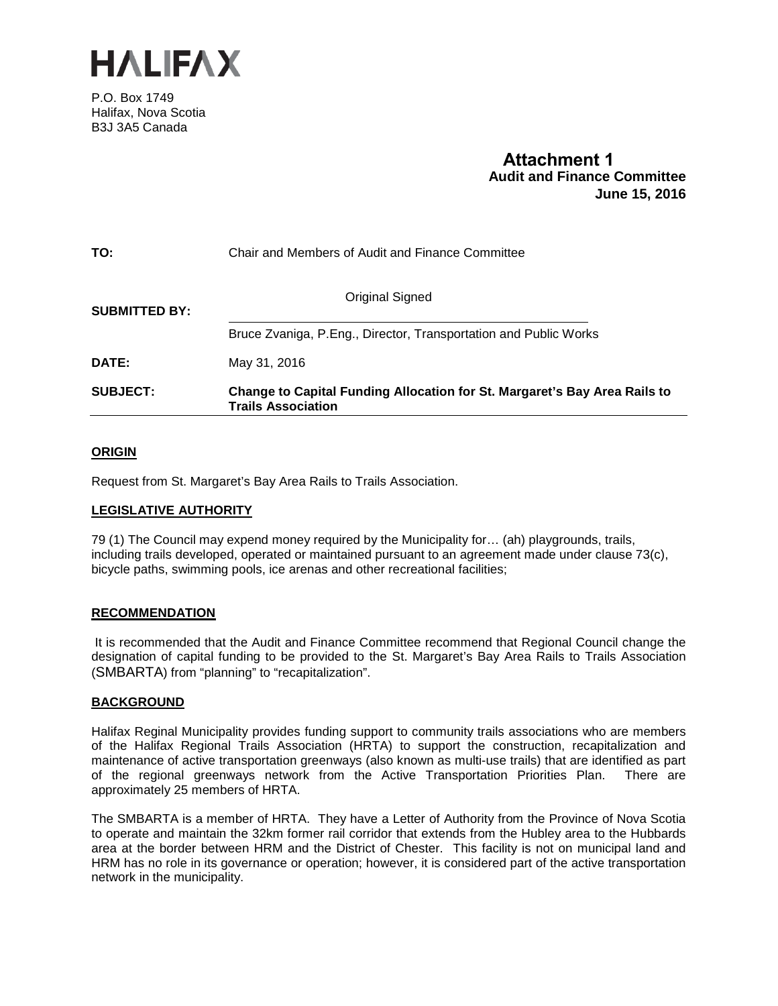

P.O. Box 1749 Halifax, Nova Scotia B3J 3A5 Canada

# **Attachment 1 Audit and Finance Committee June 15, 2016**

| TO:                  | Chair and Members of Audit and Finance Committee                                                |
|----------------------|-------------------------------------------------------------------------------------------------|
| <b>SUBMITTED BY:</b> | Original Signed                                                                                 |
|                      | Bruce Zvaniga, P.Eng., Director, Transportation and Public Works                                |
| <b>DATE:</b>         | May 31, 2016                                                                                    |
| <b>SUBJECT:</b>      | Change to Capital Funding Allocation for St. Margaret's Bay Area Rails to<br>Trails Association |

# **ORIGIN**

Request from St. Margaret's Bay Area Rails to Trails Association.

## **LEGISLATIVE AUTHORITY**

79 (1) The Council may expend money required by the Municipality for… (ah) playgrounds, trails, including trails developed, operated or maintained pursuant to an agreement made under clause 73(c), bicycle paths, swimming pools, ice arenas and other recreational facilities;

## **RECOMMENDATION**

It is recommended that the Audit and Finance Committee recommend that Regional Council change the designation of capital funding to be provided to the St. Margaret's Bay Area Rails to Trails Association (SMBARTA) from "planning" to "recapitalization".

## **BACKGROUND**

Halifax Reginal Municipality provides funding support to community trails associations who are members of the Halifax Regional Trails Association (HRTA) to support the construction, recapitalization and maintenance of active transportation greenways (also known as multi-use trails) that are identified as part of the regional greenways network from the Active Transportation Priorities Plan. There are approximately 25 members of HRTA.

The SMBARTA is a member of HRTA. They have a Letter of Authority from the Province of Nova Scotia to operate and maintain the 32km former rail corridor that extends from the Hubley area to the Hubbards area at the border between HRM and the District of Chester. This facility is not on municipal land and HRM has no role in its governance or operation; however, it is considered part of the active transportation network in the municipality.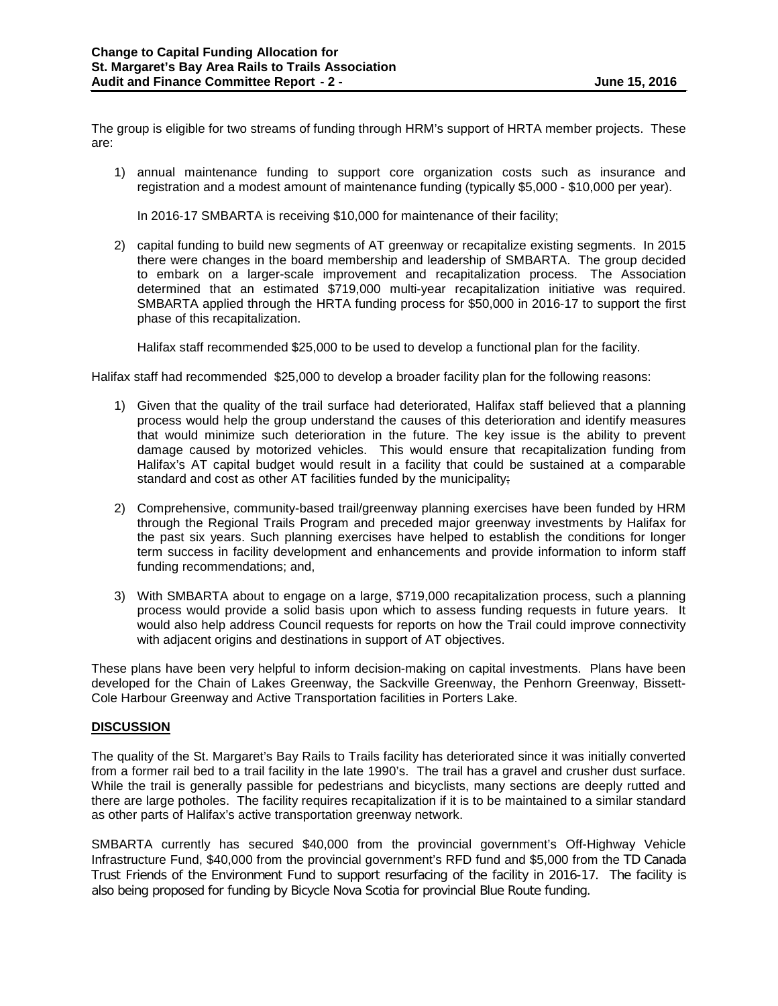The group is eligible for two streams of funding through HRM's support of HRTA member projects. These are:

1) annual maintenance funding to support core organization costs such as insurance and registration and a modest amount of maintenance funding (typically \$5,000 - \$10,000 per year).

In 2016-17 SMBARTA is receiving \$10,000 for maintenance of their facility;

2) capital funding to build new segments of AT greenway or recapitalize existing segments. In 2015 there were changes in the board membership and leadership of SMBARTA. The group decided to embark on a larger-scale improvement and recapitalization process. The Association determined that an estimated \$719,000 multi-year recapitalization initiative was required. SMBARTA applied through the HRTA funding process for \$50,000 in 2016-17 to support the first phase of this recapitalization.

Halifax staff recommended \$25,000 to be used to develop a functional plan for the facility.

Halifax staff had recommended \$25,000 to develop a broader facility plan for the following reasons:

- 1) Given that the quality of the trail surface had deteriorated, Halifax staff believed that a planning process would help the group understand the causes of this deterioration and identify measures that would minimize such deterioration in the future. The key issue is the ability to prevent damage caused by motorized vehicles. This would ensure that recapitalization funding from Halifax's AT capital budget would result in a facility that could be sustained at a comparable standard and cost as other AT facilities funded by the municipality;
- 2) Comprehensive, community-based trail/greenway planning exercises have been funded by HRM through the Regional Trails Program and preceded major greenway investments by Halifax for the past six years. Such planning exercises have helped to establish the conditions for longer term success in facility development and enhancements and provide information to inform staff funding recommendations; and,
- 3) With SMBARTA about to engage on a large, \$719,000 recapitalization process, such a planning process would provide a solid basis upon which to assess funding requests in future years. It would also help address Council requests for reports on how the Trail could improve connectivity with adjacent origins and destinations in support of AT objectives.

These plans have been very helpful to inform decision-making on capital investments. Plans have been developed for the Chain of Lakes Greenway, the Sackville Greenway, the Penhorn Greenway, Bissett-Cole Harbour Greenway and Active Transportation facilities in Porters Lake.

## **DISCUSSION**

The quality of the St. Margaret's Bay Rails to Trails facility has deteriorated since it was initially converted from a former rail bed to a trail facility in the late 1990's. The trail has a gravel and crusher dust surface. While the trail is generally passible for pedestrians and bicyclists, many sections are deeply rutted and there are large potholes. The facility requires recapitalization if it is to be maintained to a similar standard as other parts of Halifax's active transportation greenway network.

SMBARTA currently has secured \$40,000 from the provincial government's Off-Highway Vehicle Infrastructure Fund, \$40,000 from the provincial government's RFD fund and \$5,000 from the TD Canada Trust Friends of the Environment Fund to support resurfacing of the facility in 2016-17. The facility is also being proposed for funding by Bicycle Nova Scotia for provincial Blue Route funding.